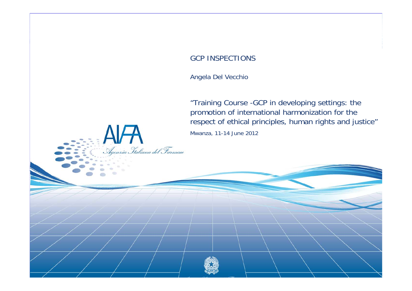#### GCP INSPECTIONS

Angela Del Vecchio

.<br>Agenzia Italiana del Farmaco

"Training Course -GCP in developing settings: the promotion of international harmonization for the respect of ethical principles, human rights and justice" Mwanza, 11-14 June 2012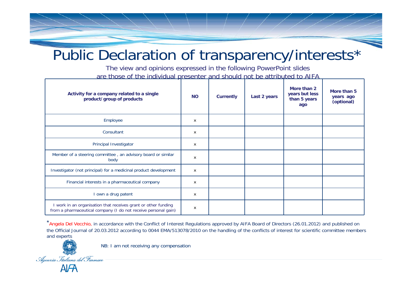### Public Declaration of transparency/interests\*

The view and opinions expressed in the following PowerPoint slides are those of the individual presenter and should not be attributed to AIFA

| Activity for a company related to a single<br>product/group of products                                                          | <b>NO</b> | <b>Currently</b> | Last 2 years | More than 2<br>years but less<br>than 5 years<br>ago | More than 5<br>years ago<br>(optional) |
|----------------------------------------------------------------------------------------------------------------------------------|-----------|------------------|--------------|------------------------------------------------------|----------------------------------------|
| Employee                                                                                                                         | x         |                  |              |                                                      |                                        |
| Consultant                                                                                                                       | x         |                  |              |                                                      |                                        |
| Principal Investigator                                                                                                           | x         |                  |              |                                                      |                                        |
| Member of a steering committee, an advisory board or similar<br>body                                                             | x         |                  |              |                                                      |                                        |
| Investigator (not principal) for a medicinal product development                                                                 | X         |                  |              |                                                      |                                        |
| Financial interests in a pharmaceutical company                                                                                  | x         |                  |              |                                                      |                                        |
| I own a drug patent                                                                                                              | x         |                  |              |                                                      |                                        |
| I work in an organisation that receives grant or other funding<br>from a pharmaceutical company (I do not receive personal gain) | x         |                  |              |                                                      |                                        |

\*Angela Del Vecchio, in accordance with the Conflict of Interest Regulations approved by AIFA Board of Directors (26.01.2012) and published on the Official Journal of 20.03.2012 according to 0044 EMA/513078/2010 on the handling of the conflicts of interest for scientific committee members and experts



NB: I am not receiving any compensation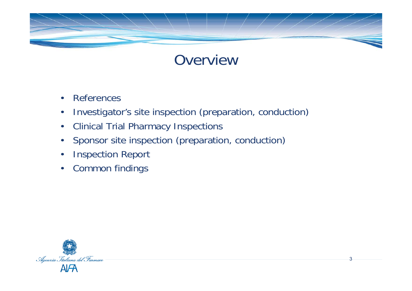

### **Overview**

- •References
- $\bullet$ Investigator's site inspection (preparation, conduction)
- $\bullet$ Clinical Trial Pharmacy Inspections
- $\bullet$ Sponsor site inspection (preparation, conduction)
- $\bullet$ Inspection Report
- •Common findings

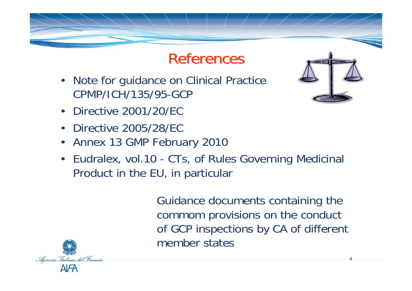### References

- Note for guidance on Clinical Practice CPMP/ICH/135/95-GCP
- Directive 2001/20/EC
- •Directive 2005/28/EC
- Annex 13 GMP February 2010
- Eudralex, vol.10 CTs, of Rules Governing Medicinal Product in the EU, in particular

Guidance documents containing the commom provisions on the conduct of GCP inspections by CA of different member states



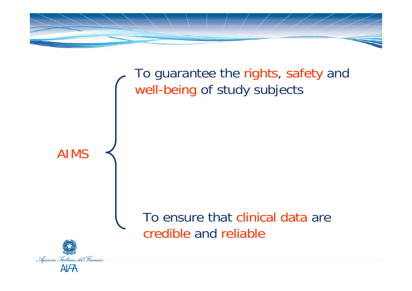

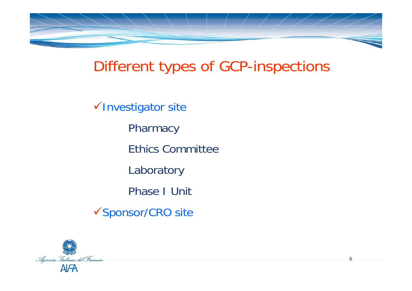

### Different types of GCP-inspections

6

√Investigator site **Pharmacy** Ethics CommitteeLaboratory Phase I Unit√Sponsor/CRO site

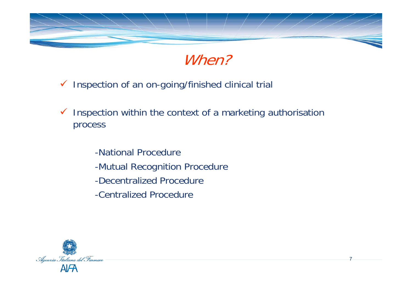



- $\checkmark$  Inspection of an on-going/finished clinical trial
- $\checkmark$  Inspection within the context of a marketing authorisation process
	- -National Procedure -Mutual Recognition Procedure -Decentralized Procedure-Centralized Procedure

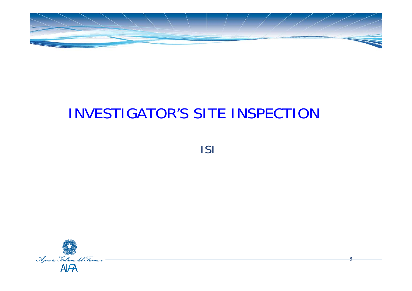

## INVESTIGATOR'S SITE INSPECTION

ISI

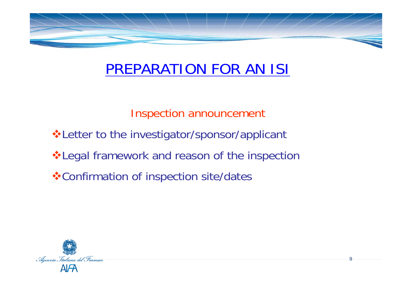

### PREPARATION FOR AN ISI

Inspection announcement

- ❖ Letter to the investigator/sponsor/applicant
- $triangle$  **Legal framework and reason of the inspection**
- **❖ Confirmation of inspection site/dates**

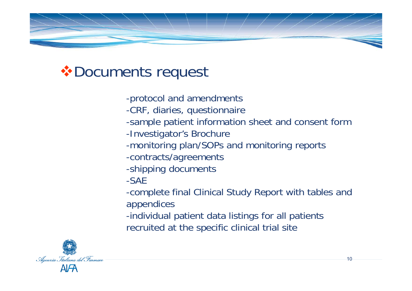

### Documents request

- -protocol and amendments
- -CRF, diaries, questionnaire
- -sample patient information sheet and consent form
- -Investigator's Brochure
- -monitoring plan/SOPs and monitoring reports
- -contracts/agreements
- -shipping documents
- -SAE
- -complete final Clinical Study Report with tables and appendices
- -individual patient data listings for all patients recruited at the specific clinical trial site

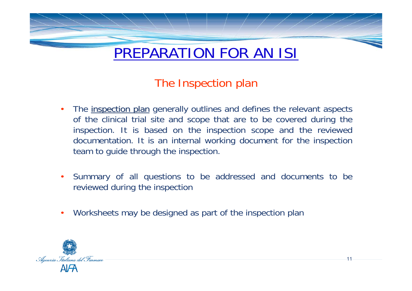

## The Inspection plan

- •The inspection plan generally outlines and defines the relevant aspects of the clinical trial site and scope that are to be covered during the inspection. It is based on the inspection scope and the reviewed documentation. It is an internal working document for the inspection team to guide through the inspection.
- Summary of all questions to be addressed and documents to be reviewed during the inspection

11

•Worksheets may be designed as part of the inspection plan

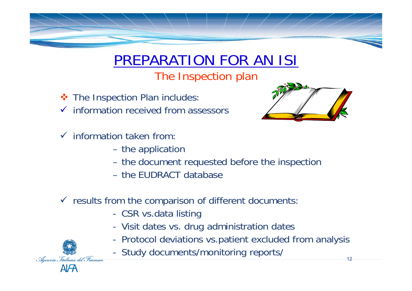

## PREPARATION FOR AN ISI

The Inspection plan

- **❖** The Inspection Plan includes:
- $\checkmark$  information received from assessors
- $\checkmark$  information taken from:

Agenzia Italiana del Farmaci

- the application
- the document requested before the inspection
- the EUDRACT database

#### $\checkmark$  results from the comparison of different documents:

- -CSR vs.data listing
- -Visit dates vs. drug administration dates
- -Protocol deviations vs.patient excluded from analysis
- -Study documents/monitoring reports/

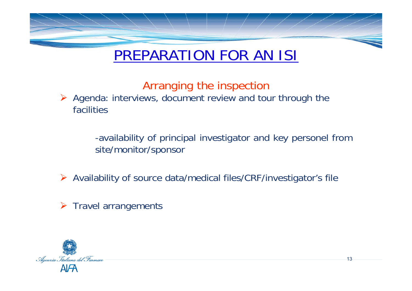

### PREPARATION FOR AN ISI

### Arranging the inspection

¾ Agenda: interviews, document review and tour through the facilities

> -availability of principal investigator and key personel from site/monitor/sponsor

¾ Availability of source data/medical files/CRF/investigator's file

 $\triangleright$  Travel arrangements

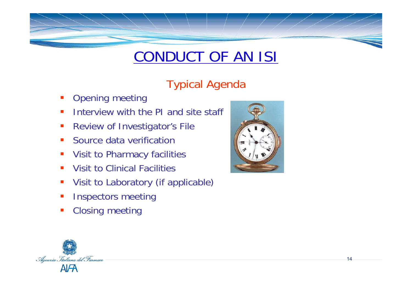### Typical Agenda

- $\mathcal{L}_{\mathcal{A}}$ Opening meeting
- $\mathcal{L}_{\mathcal{A}}$ Interview with the PI and site staff
- Review of Investigator's File
- $\mathcal{L}_{\mathcal{A}}$ Source data verification
- $\mathcal{L}_{\mathcal{A}}$ Visit to Pharmacy facilities
- **Service Service** Visit to Clinical Facilities
- $\blacksquare$ Visit to Laboratory (if applicable)
- $\blacksquare$ Inspectors meeting
- $\mathcal{L}_{\mathcal{A}}$ Closing meeting



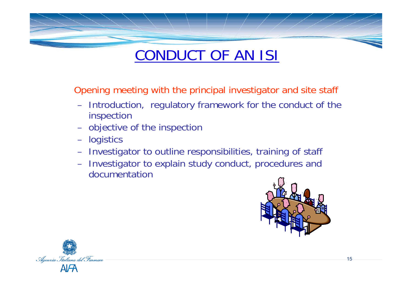Opening meeting with the principal investigator and site staff

- Introduction, regulatory framework for the conduct of the inspection
- –objective of the inspection
- –logistics
- Investigator to outline responsibilities, training of staff
- Investigator to explain study conduct, procedures and documentation



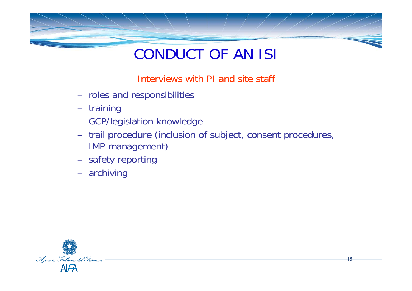

Interviews with PI and site staff

- roles and responsibilities
- training
- GCP/legislation knowledge
- trail procedure (inclusion of subject, consent procedures, IMP management)

- safety reporting
- archiving

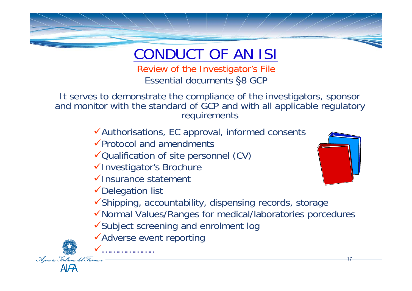

Review of the Investigator's File Essential documents §8 GCP

It serves to demonstrate the compliance of the investigators, sponsor and monitor with the standard of GCP and with all applicable regulatory requirements

 $\checkmark$  Authorisations, EC approval, informed consents

 $\sqrt{P}$ rotocol and amendments

 $\checkmark$  Qualification of site personnel (CV)

√Investigator's Brochure

 $\checkmark$  Insurance statement

 $\checkmark$  Delegation list

 $\checkmark$ Shipping, accountability, dispensing records, storage

- <sup>9</sup>Normal Values/Ranges for medical/laboratories porcedures
- $\checkmark$ Subject screening and enrolment log

 $\checkmark$ Adverse event reporting 9………………..



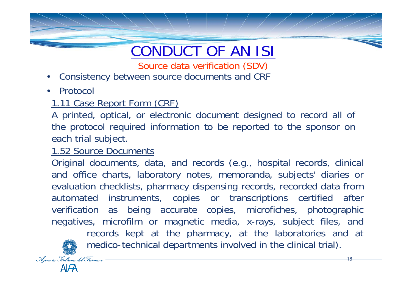Source data verification (SDV)

- $\bullet$ Consistency between source documents and CRF
- •Protocol

#### 1.11 Case Report Form (CRF)

A printed, optical, or electronic document designed to record all of the protocol required information to be reported to the sponsor on each trial subject.

#### 1.52 Source Documents

Original documents, data, and records (e.g., hospital records, clinical and office charts, laboratory notes, memoranda, subjects' diaries or evaluation checklists, pharmacy dispensing records, recorded data from automated instruments, copies or transcriptions certified after verification as being accurate copies, microfiches, photographic negatives, microfilm or magnetic media, x-rays, subject files, and records kept at the pharmacy, at the laboratories and at medico-technical departments involved in the clinical trial).

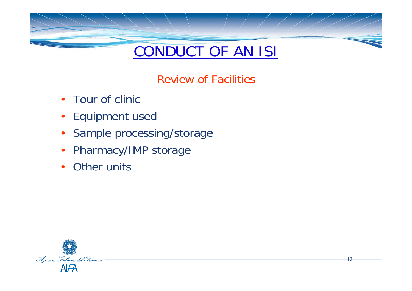

Review of Facilities

- Tour of clinic
- Equipment used
- Sample processing/storage
- Pharmacy/IMP storage
- •Other units

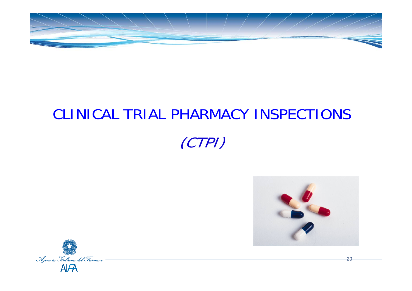

# CLINICAL TRIAL PHARMACY INSPECTIONS (CTPI)



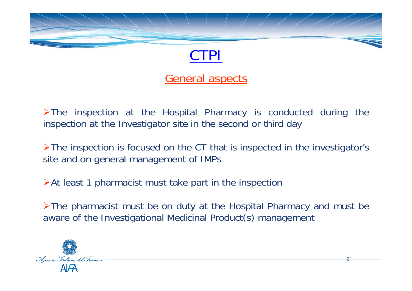

#### General aspects

¾The inspection at the Hospital Pharmacy is conducted during the inspection at the Investigator site in the second or third day

¾The inspection is focused on the CT that is inspected in the investigator's site and on general management of IMPs

¾At least 1 pharmacist must take part in the inspection

¾The pharmacist must be on duty at the Hospital Pharmacy and must be aware of the Investigational Medicinal Product(s) management

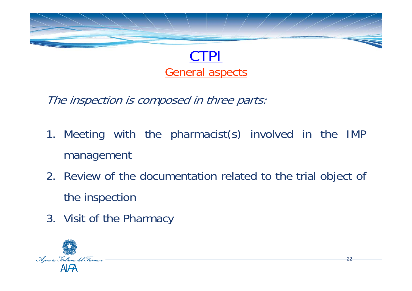

### General aspects

The inspection is composed in three parts:

- 1. Meeting with the pharmacist(s) involved in the IMP management
- 2. Review of the documentation related to the trial object of the inspection
- 3. Visit of the Pharmacy

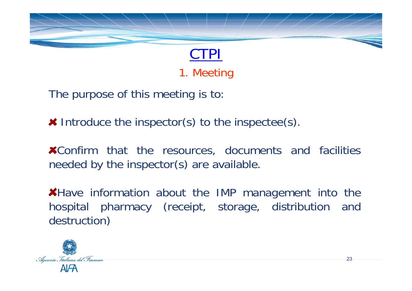

1. Meeting

The purpose of this meeting is to:

**EX** Introduce the inspector(s) to the inspectee(s).

Confirm that the resources, documents and facilities needed by the inspector(s) are available.

**\*Have information about the IMP management into the** hospital pharmacy (receipt, storage, distribution and destruction)

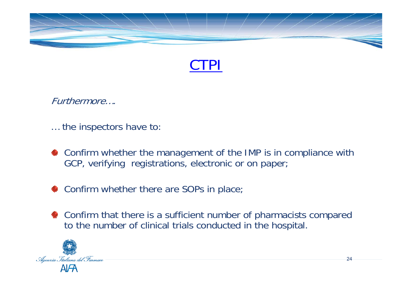



Furthermore….

… the inspectors have to:

- **\*** Confirm whether the management of the IMP is in compliance with GCP, verifying registrations, electronic or on paper;
- **\*** Confirm whether there are SOPs in place;
- **\*** Confirm that there is a sufficient number of pharmacists compared to the number of clinical trials conducted in the hospital.

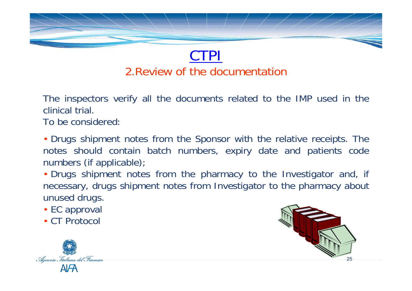

### CTPI 2.Review of the documentation

The inspectors verify all the documents related to the IMP used in the clinical trial.

To be considered:

• Drugs shipment notes from the Sponsor with the relative receipts. The notes should contain batch numbers, expiry date and patients code numbers (if applicable);

• Drugs shipment notes from the pharmacy to the Investigator and, if necessary, drugs shipment notes from Investigator to the pharmacy about unused drugs.

- EC approval
- CT Protocol



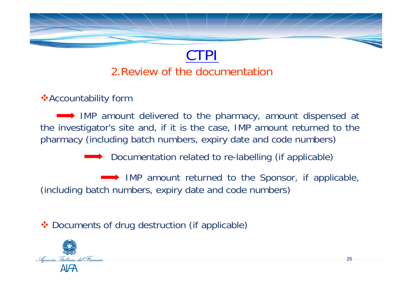

### CTPI2.Review of the documentation

#### **Accountability form**

IMP amount delivered to the pharmacy, amount dispensed at the investigator's site and, if it is the case, IMP amount returned to the pharmacy (including batch numbers, expiry date and code numbers)

◆ Documentation related to re-labelling (if applicable)

IMP amount returned to the Sponsor, if applicable, (including batch numbers, expiry date and code numbers)

◆ Documents of drug destruction (if applicable)

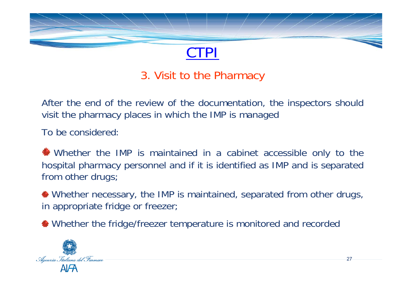

#### 3. Visit to the Pharmacy

After the end of the review of the documentation, the inspectors should visit the pharmacy places in which the IMP is managed

To be considered:

Whether the IMP is maintained in a cabinet accessible only to the hospital pharmacy personnel and if it is identified as IMP and is separated from other drugs;

Whether necessary, the IMP is maintained, separated from other drugs, in appropriate fridge or freezer;

Whether the fridge/freezer temperature is monitored and recorded

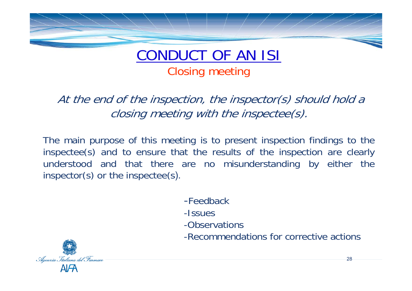

#### CONDUCT OF AN ISI Closing meeting

At the end of the inspection, the inspector(s) should hold a closing meeting with the inspectee(s).

The main purpose of this meeting is to present inspection findings to the inspectee(s) and to ensure that the results of the inspection are clearly understood and that there are no misunderstanding by either the inspector(s) or the inspectee(s).

- -Feedback
- -Issues
- -Observations
- -Recommendations for corrective actions

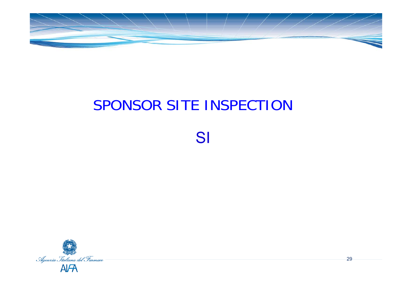

## SPONSOR SITE INSPECTION

SI

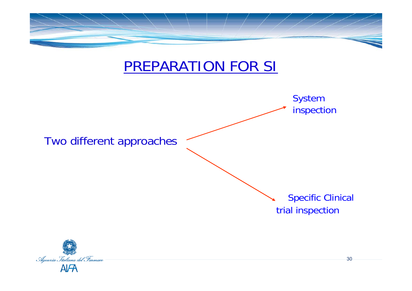

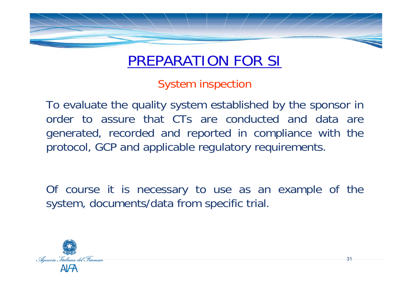

### PREPARATION FOR SI

System inspection

To evaluate the quality system established by the sponsor in order to assure that CTs are conducted and data are generated, recorded and reported in compliance with the protocol, GCP and applicable regulatory requirements.

Of course it is necessary to use as an example of the system, documents/data from specific trial.

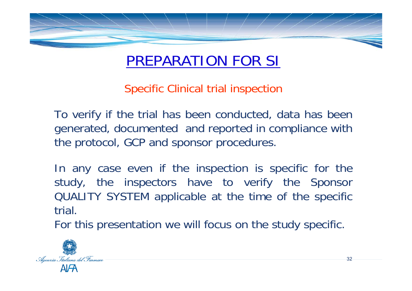

### PREPARATION FOR SI

Specific Clinical trial inspection

To verify if the trial has been conducted, data has been generated, documented and reported in compliance with the protocol, GCP and sponsor procedures.

In any case even if the inspection is specific for the study, the inspectors have to verify the Sponsor QUALITY SYSTEM applicable at the time of the specific trial.

For this presentation we will focus on the study specific.

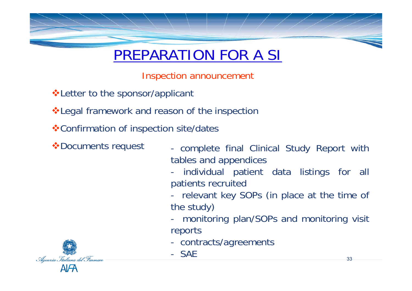

### PREPARATION FOR A SI

Inspection announcement

**V** Letter to the sponsor/applicant

**\*Legal framework and reason of the inspection** 

Confirmation of inspection site/dates

- \*Documents request complete final Clinical Study Report with tables and appendices
	- individual patient data listings for all patients recruited
	- relevant key SOPs (in place at the time of the study)
	- monitoring plan/SOPs and monitoring visit reports
	- contracts/agreements
	- SAE

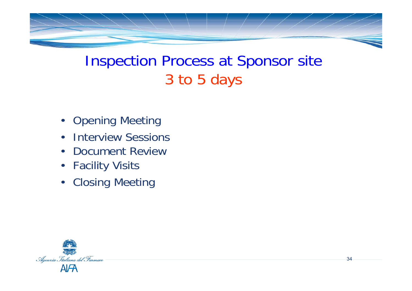

### Inspection Process at Sponsor site 3 to 5 days

- Opening Meeting
- •Interview Sessions
- $\bullet$ Document Review
- Facility Visits
- Closing Meeting

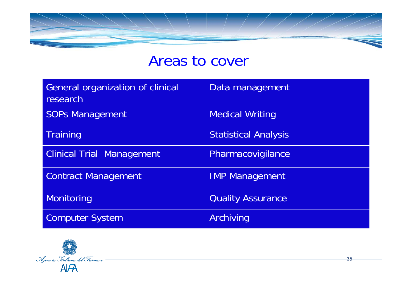### Areas to cover

| <b>General organization of clinical</b><br>research | Data management             |
|-----------------------------------------------------|-----------------------------|
| <b>SOPs Management</b>                              | <b>Medical Writing</b>      |
| <b>Training</b>                                     | <b>Statistical Analysis</b> |
| <b>Clinical Trial Management</b>                    | Pharmacovigilance           |
| <b>Contract Management</b>                          | <b>IMP Management</b>       |
| Monitoring                                          | <b>Quality Assurance</b>    |
| <b>Computer System</b>                              | Archiving                   |

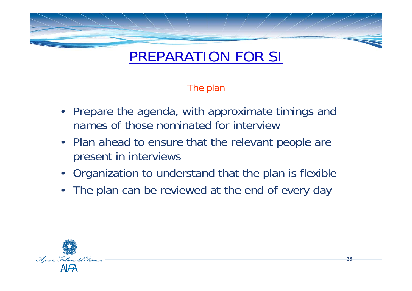

### PREPARATION FOR SI

The plan

- Prepare the agenda, with approximate timings and names of those nominated for interview
- Plan ahead to ensure that the relevant people are present in interviews
- Organization to understand that the plan is flexible
- The plan can be reviewed at the end of every day

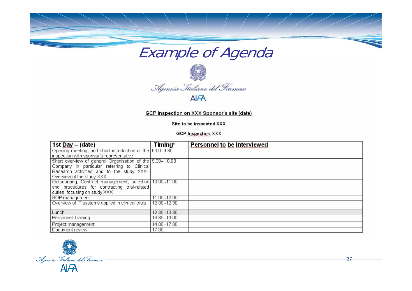



GCP Inspection on XXX Sponsor's site (date)

Site to be inspected XXX

**GCP Inspectors XXX** 

| 1st Day $-$ (date)                                       | Timing*       | <b>Personnel to be interviewed</b> |
|----------------------------------------------------------|---------------|------------------------------------|
| Opening meeting, and short introduction of the 9.00-9.30 |               |                                    |
| inspection with sponsor's representative                 |               |                                    |
| Short overview of general Organisation of the 9.30-10.00 |               |                                    |
| Company in particular referring to Clinical              |               |                                    |
| Research activities and to the study XXX-                |               |                                    |
| Overview of the study XXX                                |               |                                    |
| Outsourcing, Contract management, selection 10.00-11.00  |               |                                    |
| and procedures for contracting trial-related             |               |                                    |
| duties, focusing on study XXX                            |               |                                    |
| SOP management                                           | 11.00 - 12.00 |                                    |
| Overview of IT systems applied in clinical trials        | 12.00 - 12.30 |                                    |
| Lunch                                                    | 12.30 - 13.30 |                                    |
| <b>Personnel Training</b>                                | 13.30 - 14.00 |                                    |
| Project management                                       | 14.00 - 17.00 |                                    |
| Document review                                          | 17.00         |                                    |

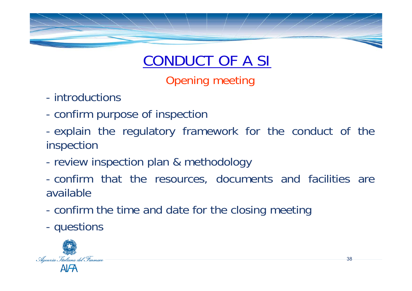

Opening meeting

- introductions
- confirm purpose of inspection
- explain the regulatory framework for the conduct of the inspection
- review inspection plan & methodology
- confirm that the resources, documents and facilities are available
- confirm the time and date for the closing meeting
- questions

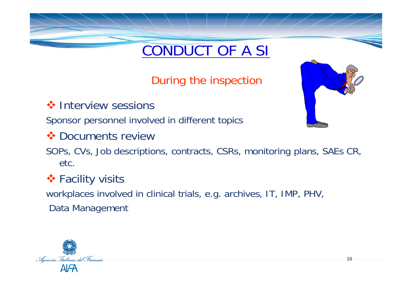During the inspection

**❖ Interview sessions** 

Sponsor personnel involved in different topics

**❖ Documents review** 

SOPs, CVs, Job descriptions, contracts, CSRs, monitoring plans, SAEs CR, etc.

#### **❖ Facility visits**

workplaces involved in clinical trials, e.g. archives, IT, IMP, PHV, Data Management



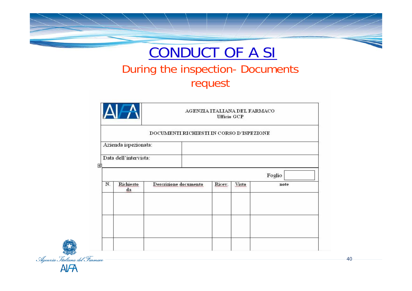



#### During the inspection- Documents request

|    |                       | AGENZIA ITALIANA DEL FARMACO<br><b>Ufficio GCP</b> |        |              |        |  |  |  |
|----|-----------------------|----------------------------------------------------|--------|--------------|--------|--|--|--|
|    |                       | DOCUMENTI RICHIESTI IN CORSO D'ISPEZIONE           |        |              |        |  |  |  |
|    | Azienda ispezionata:  |                                                    |        |              |        |  |  |  |
| 圑  | Data dell'intervista: |                                                    |        |              |        |  |  |  |
|    |                       |                                                    |        |              | Foglio |  |  |  |
| N. | Richiesto<br>da       | Descrizione documento                              | Ricev. | <b>Visto</b> | note   |  |  |  |
|    |                       |                                                    |        |              |        |  |  |  |
|    |                       |                                                    |        |              |        |  |  |  |
|    |                       |                                                    |        |              |        |  |  |  |
|    |                       |                                                    |        |              |        |  |  |  |

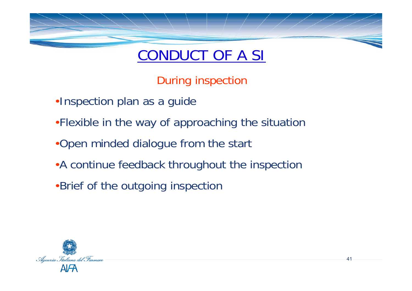

During inspection

- •Inspection plan as a guide
- •Flexible in the way of approaching the situation
- •Open minded dialogue from the start
- •A continue feedback throughout the inspection
- •Brief of the outgoing inspection

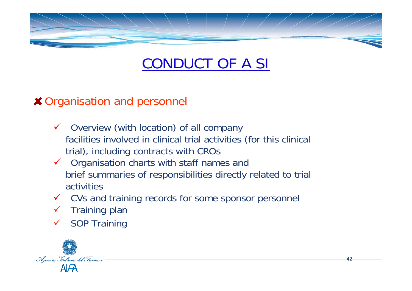

42

#### **× Organisation and personnel**

- $\checkmark$  Overview (with location) of all company facilities involved in clinical trial activities (for this clinical trial), including contracts with CROs
- $\checkmark$  Organisation charts with staff names and brief summaries of responsibilities directly related to trial activities
- $\checkmark$ CVs and training records for some sponsor personnel
- $\checkmark$ Training plan
- $\sqrt{2}$ SOP Training

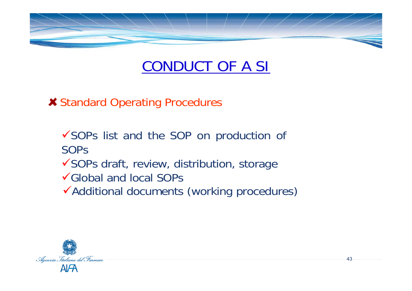

43

Standard Operating Procedures

 $\checkmark$ SOPs list and the SOP on production of SOPs√SOPs draft, review, distribution, storage 9Global and local SOPs◆ Additional documents (working procedures)

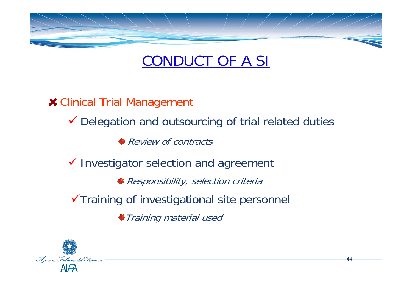

**\* Clinical Trial Management** 

Delegation and outsourcing of trial related duties

**Review of contracts** 

 $\checkmark$  Investigator selection and agreement

Responsibility, selection criteria

 $\checkmark$ Training of investigational site personnel

Training material used

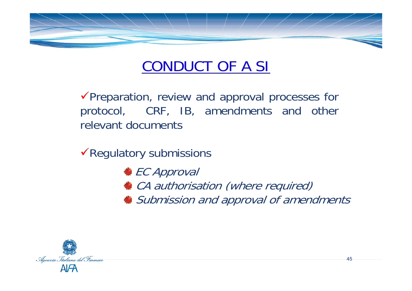

 $\sqrt{\frac{P}}$ Preparation, review and approval processes for protocol, CRF, IB, amendments and other relevant documents

 $\sqrt{\sqrt{}}$ Regulatory submissions

 $\frac{1}{\bullet}$  **EC Approval** *★ CA authorisation (where required)* Submission and approval of amendments

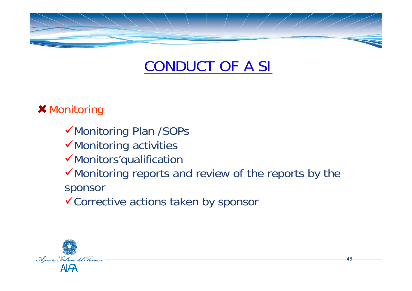

#### **\* Monitoring**

- √Monitoring Plan /SOPs
- $\checkmark$  Monitoring activities
- $\checkmark$  Monitors'qualification
- $\checkmark$  Monitoring reports and review of the reports by the sponsor
- $\checkmark$  Corrective actions taken by sponsor

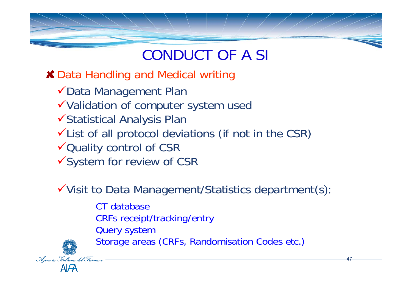Data Handling and Medical writing

- ◆Data Management Plan
- <sup>9</sup>Validation of computer system used
- <sup>9</sup>Statistical Analysis Plan
- $\checkmark$  List of all protocol deviations (if not in the CSR)
- √Quality control of CSR
- √System for review of CSR

 $\checkmark$  Visit to Data Management/Statistics department(s):

- CT databaseCRFs receipt/tracking/entry
- Query system
- Storage areas (CRFs, Randomisation Codes etc.)

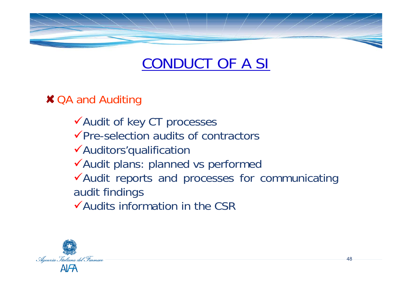

#### **× QA and Auditing**

- √Audit of key CT processes
- $\sqrt{P}$ re-selection audits of contractors
- $\checkmark$ Auditors'qualification
- ◆Audit plans: planned vs performed
- $\checkmark$  Audit reports and processes for communicating audit findings
- $\checkmark$  Audits information in the CSR

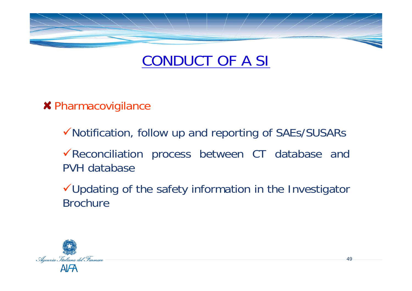

**\* Pharmacovigilance** 

 $\checkmark$  Notification, follow up and reporting of SAEs/SUSARs

 $\sqrt{\sqrt{2}}$ Reconciliation process between CT database and PVH database

 $\checkmark$ Updating of the safety information in the Investigator Brochure

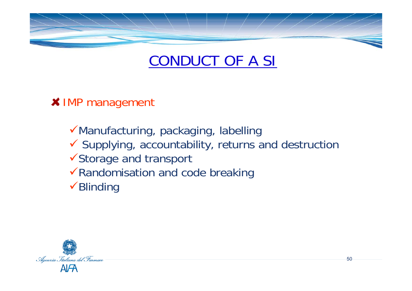

**X** IMP management

 $\checkmark$ Manufacturing, packaging, labelling  $\checkmark$  Supplying, accountability, returns and destruction <sup>9</sup>Storage and transport  $\sqrt{\mathsf{Randomisation}}$  and code breaking  $\checkmark$ Blinding

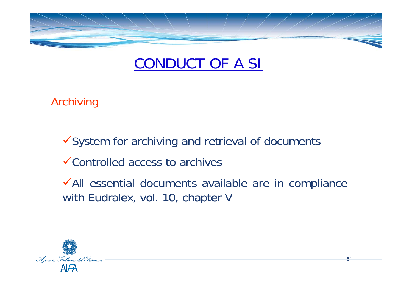

Archiving

 $\checkmark$ System for archiving and retrieval of documents

 $\checkmark$  Controlled access to archives

<sup>9</sup>All essential documents available are in compliance with Eudralex, vol. 10, chapter V

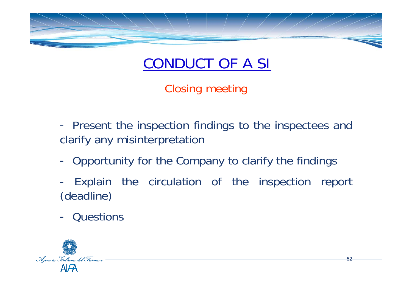

Closing meeting

 $\mathcal{L}_{\mathcal{A}}$ - Present the inspection findings to the inspectees and clarify any misinterpretation

- $\mathcal{L}_{\mathcal{A}}$ - Opportunity for the Company to clarify the findings
- - Explain the circulation of the inspection report (deadline)
- Questions

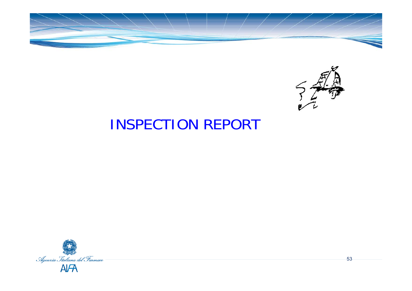



#### INSPECTION REPORT

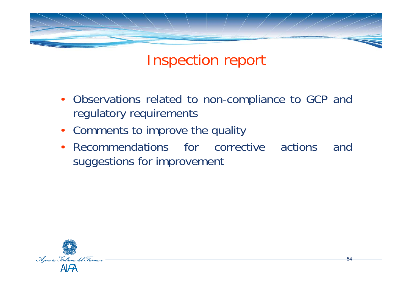

#### Inspection report

- Observations related to non-compliance to GCP and regulatory requirements
- Comments to improve the quality
- • Recommendations for corrective actions and suggestions for improvement

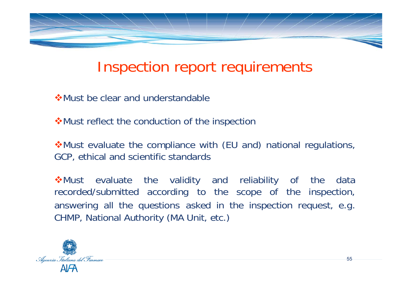

#### Inspection report requirements

**☆Must be clear and understandable** 

**\*Must reflect the conduction of the inspection** 

Must evaluate the compliance with (EU and) national regulations, GCP, ethical and scientific standards

Must evaluate the validity and reliability of the data recorded/submitted according to the scope of the inspection, answering all the questions asked in the inspection request, e.g. CHMP, National Authority (MA Unit, etc.)

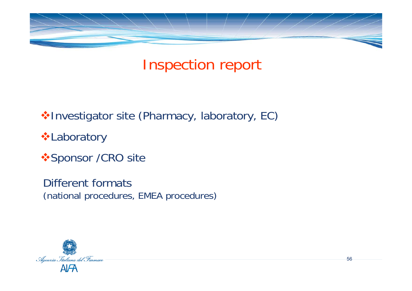

## Inspection report

◆Investigator site (Pharmacy, laboratory, EC)

Laboratory

**❖ Sponsor /CRO site** 

Different formats (national procedures, EMEA procedures)

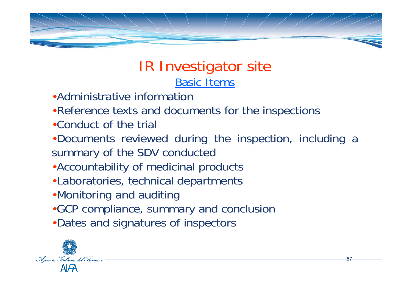

#### IR Investigator site Basic Items

- •Administrative information
- •Reference texts and documents for the inspections
- •Conduct of the trial
- •Documents reviewed during the inspection, including a summary of the SDV conducted
- •Accountability of medicinal products
- •Laboratories, technical departments
- •Monitoring and auditing
- •GCP compliance, summary and conclusion
- •Dates and signatures of inspectors

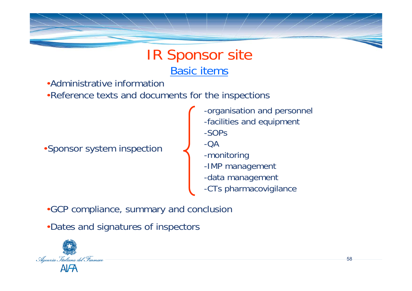#### IR Sponsor site Basic items

•Administrative information

•Reference texts and documents for the inspections

•Sponsor system inspection

- -organisation and personnel -facilities and equipment
- -SOPs
- -QA
- -monitoring
- -IMP management
- -data management
- -CTs pharmacovigilance

•GCP compliance, summary and conclusion

•Dates and signatures of inspectors

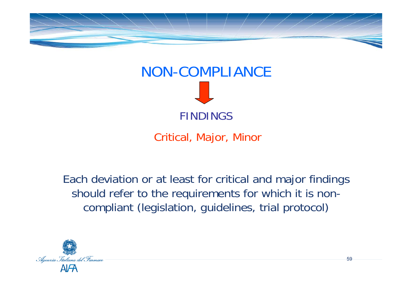



Critical, Major, Minor

Each deviation or at least for critical and major findings should refer to the requirements for which it is noncompliant (legislation, guidelines, trial protocol)

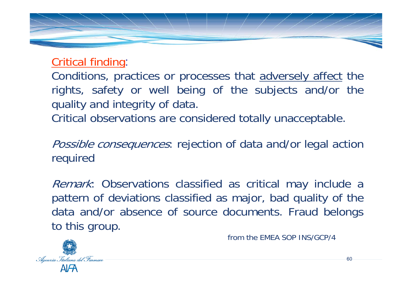

Critical finding:

Conditions, practices or processes that adversely affect the rights, safety or well being of the subjects and/or the quality and integrity of data.

Critical observations are considered totally unacceptable.

Possible consequences: rejection of data and/or legal action required

Remark: Observations classified as critical may include a pattern of deviations classified as major, bad quality of the data and/or absence of source documents. Fraud belongs to this group.



from the EMEA SOP INS/GCP/4

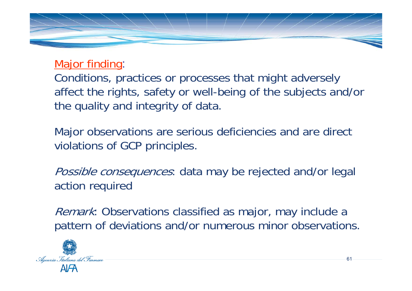

Major finding:

Conditions, practices or processes that might adversely affect the rights, safety or well-being of the subjects and/or the quality and integrity of data.

Major observations are serious deficiencies and are direct violations of GCP principles.

Possible consequences: data may be rejected and/or legal action required

Remark: Observations classified as major, may include a pattern of deviations and/or numerous minor observations.

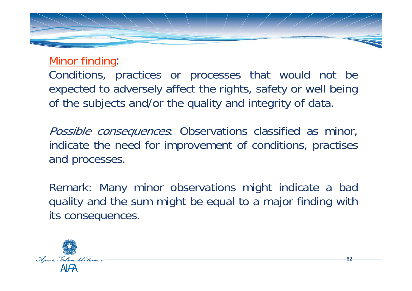

Minor finding:

Conditions, practices or processes that would not be expected to adversely affect the rights, safety or well being of the subjects and/or the quality and integrity of data.

Possible consequences: Observations classified as minor, indicate the need for improvement of conditions, practises and processes.

Remark: Many minor observations might indicate a bad quality and the sum might be equal to a major finding with its consequences.

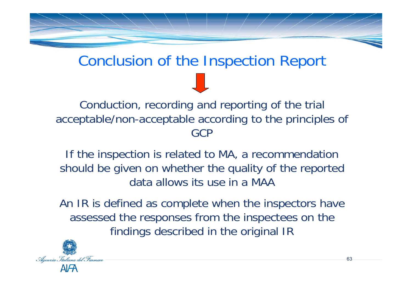

#### Conclusion of the Inspection Report

Conduction, recording and reporting of the trial acceptable/non-acceptable according to the principles of **GCP** 

If the inspection is related to MA, a recommendation should be given on whether the quality of the reported data allows its use in a MAA

An IR is defined as complete when the inspectors have assessed the responses from the inspectees on the findings described in the original IR

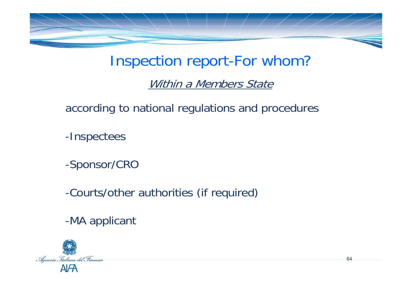

#### Inspection report-For whom?

#### Within a Members State

according to national regulations and procedures

-Inspectees

-Sponsor/CRO

-Courts/other authorities (if required)

-MA applicant

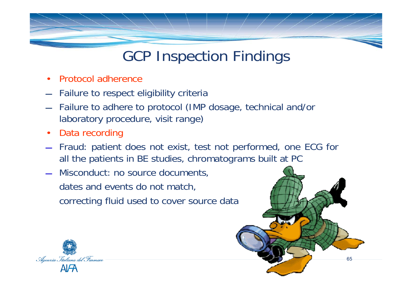- •Protocol adherence
- **STATE** Failure to respect eligibility criteria
- $\overline{\phantom{0}}$  Failure to adhere to protocol (IMP dosage, technical and/or laboratory procedure, visit range)
- •Data recording
- $-$  Fraud: patient does not exist, test not performed, one ECG for all the patients in BE studies, chromatograms built at PC

65

 Misconduct: no source documents, dates and events do not match, correcting fluid used to cover source data

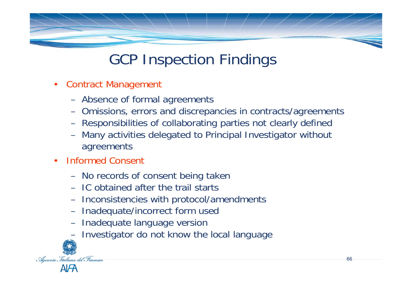- $\bullet$  Contract Management
	- Absence of formal agreements
	- Omissions, errors and discrepancies in contracts/agreements
	- Responsibilities of collaborating parties not clearly defined
	- Many activities delegated to Principal Investigator without agreements
- • Informed Consent
	- No records of consent being taken
	- IC obtained after the trail starts
	- Inconsistencies with protocol/amendments
	- Inadequate/incorrect form used
	- Inadequate language version
	- Investigator do not know the local language

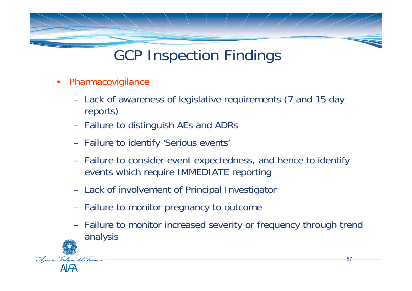- $\bullet$  Pharmacovigilance
	- Lack of awareness of legislative requirements (7 and 15 day reports)
	- Failure to distinguish AEs and ADRs
	- Failure to identify 'Serious events'
	- Failure to consider event expectedness, and hence to identify events which require IMMEDIATE reporting
	- Lack of involvement of Principal Investigator
	- Failure to monitor pregnancy to outcome
	- Failure to monitor increased severity or frequency through trend analysis

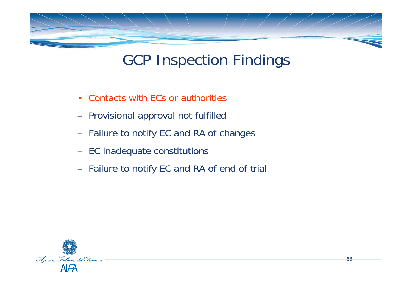

- •Contacts with ECs or authorities
- Provisional approval not fulfilled
- Failure to notify EC and RA of changes
- EC inadequate constitutions
- Failure to notify EC and RA of end of trial

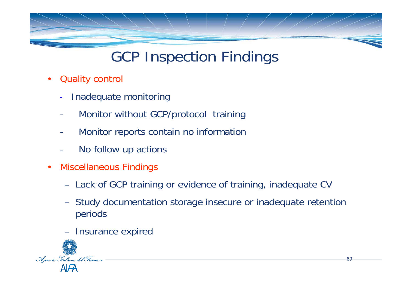- • Quality control
	- -Inadequate monitoring
	- -Monitor without GCP/protocol training
	- -Monitor reports contain no information
	- -No follow up actions
- • Miscellaneous Findings
	- Lack of GCP training or evidence of training, inadequate CV
	- Study documentation storage insecure or inadequate retention periods
	- Insurance expired

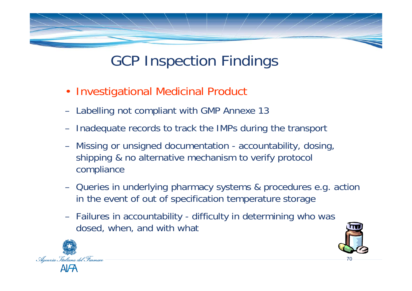- Investigational Medicinal Product
- Labelling not compliant with GMP Annexe 13
- Inadequate records to track the IMPs during the transport
- Missing or unsigned documentation accountability, dosing, shipping & no alternative mechanism to verify protocol compliance
- Queries in underlying pharmacy systems & procedures e.g. action in the event of out of specification temperature storage
- Failures in accountability difficulty in determining who was dosed, when, and with what



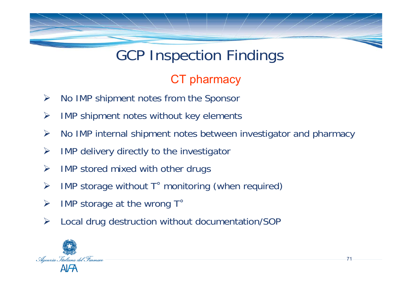#### CT pharmacy

- ¾No IMP shipment notes from the Sponsor
- ¾IMP shipment notes without key elements
- ¾No IMP internal shipment notes between investigator and pharmacy

- ¾IMP delivery directly to the investigator
- ¾IMP stored mixed with other drugs
- ¾IMP storage without T° monitoring (when required)
- ¾IMP storage at the wrong T°
- ¾Local drug destruction without documentation/SOP

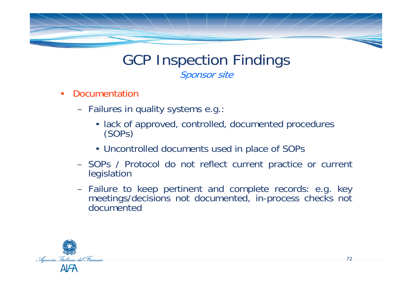

#### GCP Inspection Findings Sponsor site

- • Documentation
	- $\mathcal{L}_{\mathcal{A}}$  , where  $\mathcal{L}_{\mathcal{A}}$  is the set of the set of the set of the set of the set of the set of the set of the set of the set of the set of the set of the set of the set of the set of the set of the set of the Failures in quality systems e.g.:
		- lack of approved, controlled, documented procedures (SOPs)
		- Uncontrolled documents used in place of SOPs
	- $\mathcal{L}_{\mathcal{A}}$  , where  $\mathcal{L}_{\mathcal{A}}$  is the set of the set of the set of the set of the set of the set of the set of the set of the set of the set of the set of the set of the set of the set of the set of the set of the SOPs / Protocol do not reflect current practice or current legislation
	- – Failure to keep pertinent and complete records: e.g. key meetings/decisions not documented, in-process checks not documented

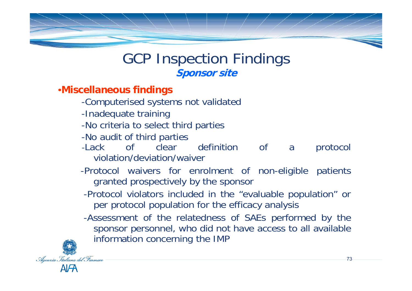## GCP Inspection Findings **Sponsor site**

- •**Miscellaneous findings**
	- -Computerised systems not validated
	- -Inadequate training
	- -No criteria to select third parties
	- -No audit of third parties
	- -Lack of clear definition of a protocol violation/deviation/waiver
	- -Protocol waivers for enrolment of non-eligible patients granted prospectively by the sponsor
	- -Protocol violators included in the "evaluable population" or per protocol population for the efficacy analysis
	- -Assessment of the relatedness of SAEs performed by the sponsor personnel, who did not have access to all available information concerning the IMP

73